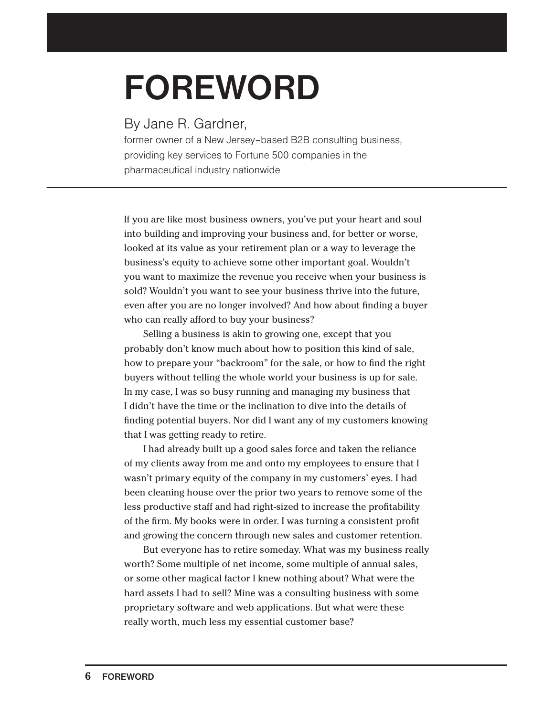## **FOREWORD**

By Jane R. Gardner,

former owner of a New Jersey–based B2B consulting business, providing key services to Fortune 500 companies in the pharmaceutical industry nationwide

If you are like most business owners, you've put your heart and soul into building and improving your business and, for better or worse, looked at its value as your retirement plan or a way to leverage the business's equity to achieve some other important goal. Wouldn't you want to maximize the revenue you receive when your business is sold? Wouldn't you want to see your business thrive into the future, even after you are no longer involved? And how about finding a buyer who can really afford to buy your business?

Selling a business is akin to growing one, except that you probably don't know much about how to position this kind of sale, how to prepare your "backroom" for the sale, or how to find the right buyers without telling the whole world your business is up for sale. In my case, I was so busy running and managing my business that I didn't have the time or the inclination to dive into the details of finding potential buyers. Nor did I want any of my customers knowing that I was getting ready to retire.

I had already built up a good sales force and taken the reliance of my clients away from me and onto my employees to ensure that I wasn't primary equity of the company in my customers' eyes. I had been cleaning house over the prior two years to remove some of the less productive staff and had right-sized to increase the profitability of the firm. My books were in order. I was turning a consistent profit and growing the concern through new sales and customer retention.

But everyone has to retire someday. What was my business really worth? Some multiple of net income, some multiple of annual sales, or some other magical factor I knew nothing about? What were the hard assets I had to sell? Mine was a consulting business with some proprietary software and web applications. But what were these really worth, much less my essential customer base?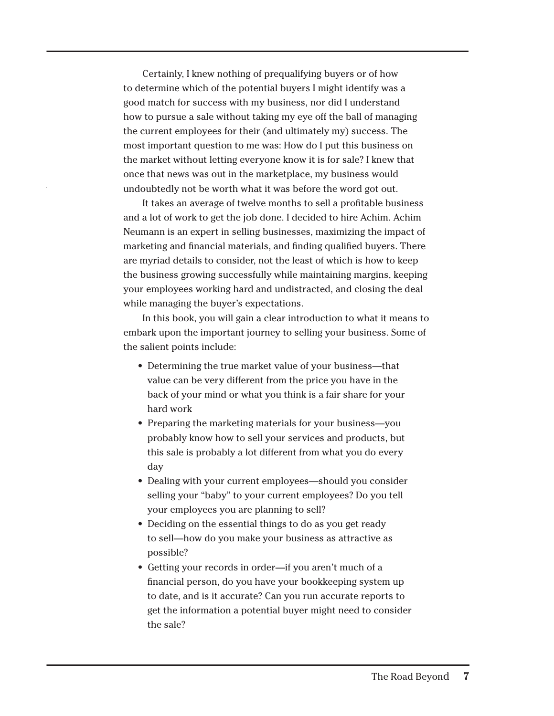Certainly, I knew nothing of prequalifying buyers or of how to determine which of the potential buyers I might identify was a good match for success with my business, nor did I understand how to pursue a sale without taking my eye off the ball of managing the current employees for their (and ultimately my) success. The most important question to me was: How do I put this business on the market without letting everyone know it is for sale? I knew that once that news was out in the marketplace, my business would undoubtedly not be worth what it was before the word got out.

It takes an average of twelve months to sell a profitable business and a lot of work to get the job done. I decided to hire Achim. Achim Neumann is an expert in selling businesses, maximizing the impact of marketing and financial materials, and finding qualified buyers. There are myriad details to consider, not the least of which is how to keep the business growing successfully while maintaining margins, keeping your employees working hard and undistracted, and closing the deal while managing the buyer's expectations.

In this book, you will gain a clear introduction to what it means to embark upon the important journey to selling your business. Some of the salient points include:

- Determining the true market value of your business—that value can be very different from the price you have in the back of your mind or what you think is a fair share for your hard work
- Preparing the marketing materials for your business—you probably know how to sell your services and products, but this sale is probably a lot different from what you do every day
- Dealing with your current employees—should you consider selling your "baby" to your current employees? Do you tell your employees you are planning to sell?
- Deciding on the essential things to do as you get ready to sell—how do you make your business as attractive as possible?
- Getting your records in order—if you aren't much of a financial person, do you have your bookkeeping system up to date, and is it accurate? Can you run accurate reports to get the information a potential buyer might need to consider the sale?